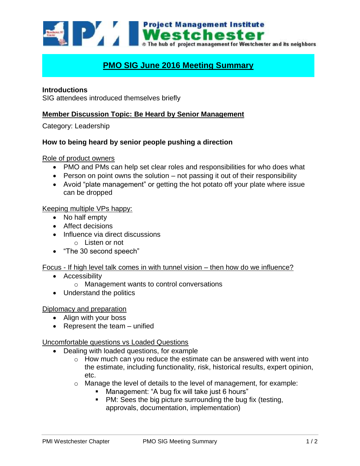

# **PMO SIG June 2016 Meeting Summary**

## **Introductions**

SIG attendees introduced themselves briefly

# **Member Discussion Topic: Be Heard by Senior Management**

Category: Leadership

#### **How to being heard by senior people pushing a direction**

Role of product owners

- PMO and PMs can help set clear roles and responsibilities for who does what
- **Person on point owns the solution not passing it out of their responsibility**
- Avoid "plate management" or getting the hot potato off your plate where issue can be dropped

#### Keeping multiple VPs happy:

- No half empty
- Affect decisions
- Influence via direct discussions
	- o Listen or not
- "The 30 second speech"

#### Focus - If high level talk comes in with tunnel vision – then how do we influence?

- **•** Accessibility
	- o Management wants to control conversations
- Understand the politics

#### Diplomacy and preparation

- Align with your boss
- $\bullet$  Represent the team unified

#### Uncomfortable questions vs Loaded Questions

- Dealing with loaded questions, for example
	- $\circ$  How much can you reduce the estimate can be answered with went into the estimate, including functionality, risk, historical results, expert opinion, etc.
	- o Manage the level of details to the level of management, for example:
		- Management: "A bug fix will take just 6 hours"
		- PM: Sees the big picture surrounding the bug fix (testing, approvals, documentation, implementation)